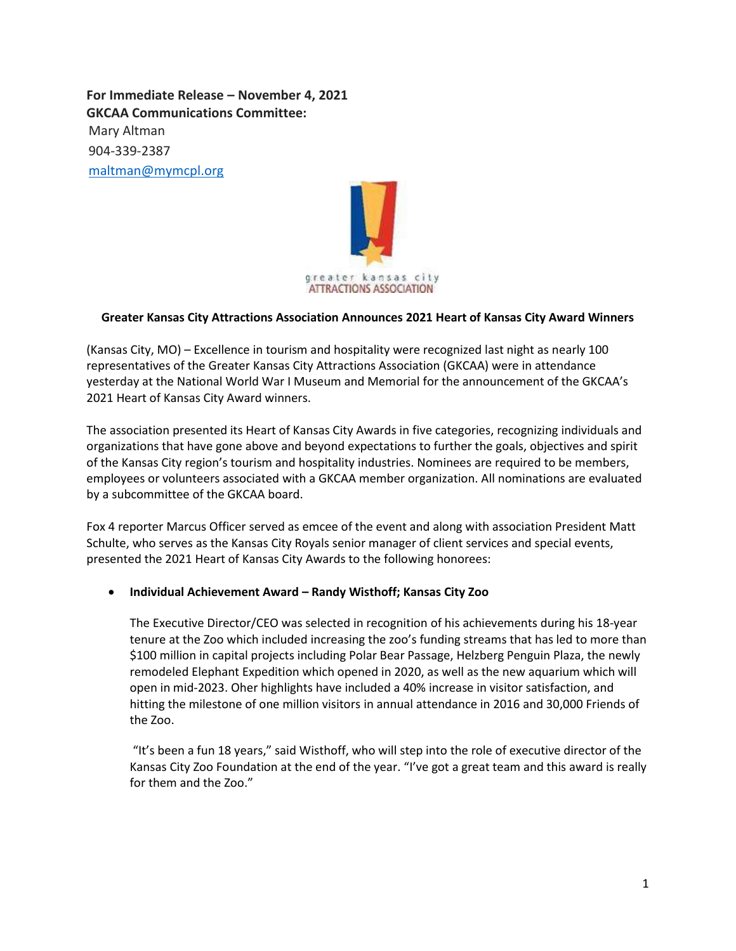**For Immediate Release – November 4, 2021 GKCAA Communications Committee:**  Mary Altman 904-339-2387 [maltman@mymcpl.org](mailto:maltman@mymcpl.org)



## **Greater Kansas City Attractions Association Announces 2021 Heart of Kansas City Award Winners**

(Kansas City, MO) – Excellence in tourism and hospitality were recognized last night as nearly 100 representatives of the Greater Kansas City Attractions Association (GKCAA) were in attendance yesterday at the National World War I Museum and Memorial for the announcement of the GKCAA's 2021 Heart of Kansas City Award winners.

The association presented its Heart of Kansas City Awards in five categories, recognizing individuals and organizations that have gone above and beyond expectations to further the goals, objectives and spirit of the Kansas City region's tourism and hospitality industries. Nominees are required to be members, employees or volunteers associated with a GKCAA member organization. All nominations are evaluated by a subcommittee of the GKCAA board.

Fox 4 reporter Marcus Officer served as emcee of the event and along with association President Matt Schulte, who serves as the Kansas City Royals senior manager of client services and special events, presented the 2021 Heart of Kansas City Awards to the following honorees:

## **Individual Achievement Award – Randy Wisthoff; Kansas City Zoo**

The Executive Director/CEO was selected in recognition of his achievements during his 18-year tenure at the Zoo which included increasing the zoo's funding streams that has led to more than \$100 million in capital projects including Polar Bear Passage, Helzberg Penguin Plaza, the newly remodeled Elephant Expedition which opened in 2020, as well as the new aquarium which will open in mid-2023. Oher highlights have included a 40% increase in visitor satisfaction, and hitting the milestone of one million visitors in annual attendance in 2016 and 30,000 Friends of the Zoo.

"It's been a fun 18 years," said Wisthoff, who will step into the role of executive director of the Kansas City Zoo Foundation at the end of the year. "I've got a great team and this award is really for them and the Zoo."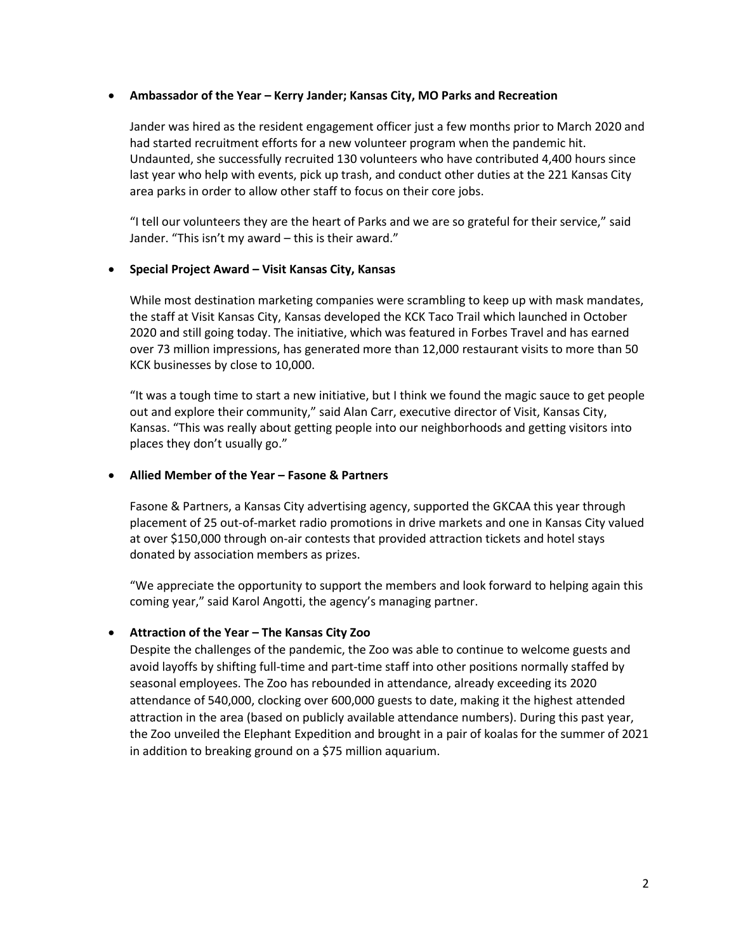## **Ambassador of the Year – Kerry Jander; Kansas City, MO Parks and Recreation**

Jander was hired as the resident engagement officer just a few months prior to March 2020 and had started recruitment efforts for a new volunteer program when the pandemic hit. Undaunted, she successfully recruited 130 volunteers who have contributed 4,400 hours since last year who help with events, pick up trash, and conduct other duties at the 221 Kansas City area parks in order to allow other staff to focus on their core jobs.

"I tell our volunteers they are the heart of Parks and we are so grateful for their service," said Jander. "This isn't my award – this is their award."

## **Special Project Award – Visit Kansas City, Kansas**

While most destination marketing companies were scrambling to keep up with mask mandates, the staff at Visit Kansas City, Kansas developed the KCK Taco Trail which launched in October 2020 and still going today. The initiative, which was featured in Forbes Travel and has earned over 73 million impressions, has generated more than 12,000 restaurant visits to more than 50 KCK businesses by close to 10,000.

"It was a tough time to start a new initiative, but I think we found the magic sauce to get people out and explore their community," said Alan Carr, executive director of Visit, Kansas City, Kansas. "This was really about getting people into our neighborhoods and getting visitors into places they don't usually go."

#### **Allied Member of the Year – Fasone & Partners**

Fasone & Partners, a Kansas City advertising agency, supported the GKCAA this year through placement of 25 out-of-market radio promotions in drive markets and one in Kansas City valued at over \$150,000 through on-air contests that provided attraction tickets and hotel stays donated by association members as prizes.

"We appreciate the opportunity to support the members and look forward to helping again this coming year," said Karol Angotti, the agency's managing partner.

## **Attraction of the Year – The Kansas City Zoo**

Despite the challenges of the pandemic, the Zoo was able to continue to welcome guests and avoid layoffs by shifting full-time and part-time staff into other positions normally staffed by seasonal employees. The Zoo has rebounded in attendance, already exceeding its 2020 attendance of 540,000, clocking over 600,000 guests to date, making it the highest attended attraction in the area (based on publicly available attendance numbers). During this past year, the Zoo unveiled the Elephant Expedition and brought in a pair of koalas for the summer of 2021 in addition to breaking ground on a \$75 million aquarium.